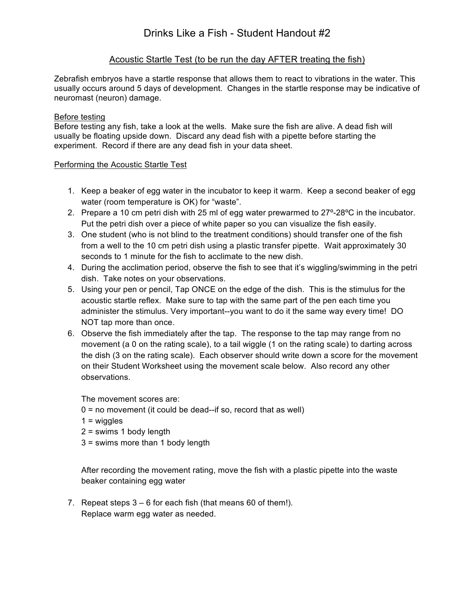# Acoustic Startle Test (to be run the day AFTER treating the fish)

Zebrafish embryos have a startle response that allows them to react to vibrations in the water. This usually occurs around 5 days of development. Changes in the startle response may be indicative of neuromast (neuron) damage.

## Before testing

Before testing any fish, take a look at the wells. Make sure the fish are alive. A dead fish will usually be floating upside down. Discard any dead fish with a pipette before starting the experiment. Record if there are any dead fish in your data sheet.

#### Performing the Acoustic Startle Test

- 1. Keep a beaker of egg water in the incubator to keep it warm. Keep a second beaker of egg water (room temperature is OK) for "waste".
- 2. Prepare a 10 cm petri dish with 25 ml of egg water prewarmed to 27°-28°C in the incubator. Put the petri dish over a piece of white paper so you can visualize the fish easily.
- 3. One student (who is not blind to the treatment conditions) should transfer one of the fish from a well to the 10 cm petri dish using a plastic transfer pipette. Wait approximately 30 seconds to 1 minute for the fish to acclimate to the new dish.
- 4. During the acclimation period, observe the fish to see that it's wiggling/swimming in the petri dish. Take notes on your observations.
- 5. Using your pen or pencil, Tap ONCE on the edge of the dish. This is the stimulus for the acoustic startle reflex. Make sure to tap with the same part of the pen each time you administer the stimulus. Very important--you want to do it the same way every time! DO NOT tap more than once.
- 6. Observe the fish immediately after the tap. The response to the tap may range from no movement (a 0 on the rating scale), to a tail wiggle (1 on the rating scale) to darting across the dish (3 on the rating scale). Each observer should write down a score for the movement on their Student Worksheet using the movement scale below. Also record any other observations.

The movement scores are:

- $0 =$  no movement (it could be dead--if so, record that as well)
- $1 = wiggles$
- 2 = swims 1 body length
- 3 = swims more than 1 body length

After recording the movement rating, move the fish with a plastic pipette into the waste beaker containing egg water

7. Repeat steps 3 – 6 for each fish (that means 60 of them!). Replace warm egg water as needed.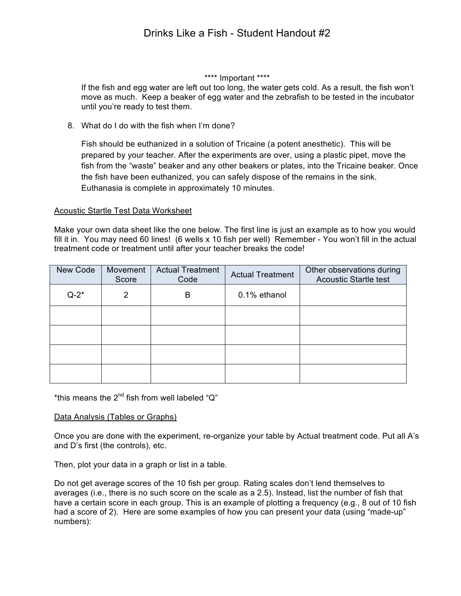#### \*\*\*\* Important \*\*\*\*

If the fish and egg water are left out too long, the water gets cold. As a result, the fish won't move as much. Keep a beaker of egg water and the zebrafish to be tested in the incubator until you're ready to test them.

8. What do I do with the fish when I'm done?

Fish should be euthanized in a solution of Tricaine (a potent anesthetic). This will be prepared by your teacher. After the experiments are over, using a plastic pipet, move the fish from the "waste" beaker and any other beakers or plates, into the Tricaine beaker. Once the fish have been euthanized, you can safely dispose of the remains in the sink. Euthanasia is complete in approximately 10 minutes.

#### Acoustic Startle Test Data Worksheet

Make your own data sheet like the one below. The first line is just an example as to how you would fill it in. You may need 60 lines! (6 wells x 10 fish per well) Remember - You won't fill in the actual treatment code or treatment until after your teacher breaks the code!

| New Code | Movement<br>Score | <b>Actual Treatment</b><br>Code | <b>Actual Treatment</b> | Other observations during<br><b>Acoustic Startle test</b> |  |
|----------|-------------------|---------------------------------|-------------------------|-----------------------------------------------------------|--|
| $Q-2^*$  | 2                 | B                               | 0.1% ethanol            |                                                           |  |
|          |                   |                                 |                         |                                                           |  |
|          |                   |                                 |                         |                                                           |  |
|          |                   |                                 |                         |                                                           |  |
|          |                   |                                 |                         |                                                           |  |

\*this means the  $2^{nd}$  fish from well labeled " $Q$ "

#### Data Analysis (Tables or Graphs)

Once you are done with the experiment, re-organize your table by Actual treatment code. Put all A's and D's first (the controls), etc.

Then, plot your data in a graph or list in a table.

Do not get average scores of the 10 fish per group. Rating scales don't lend themselves to averages (i.e., there is no such score on the scale as a 2.5). Instead, list the number of fish that have a certain score in each group. This is an example of plotting a frequency (e.g., 8 out of 10 fish had a score of 2). Here are some examples of how you can present your data (using "made-up" numbers):